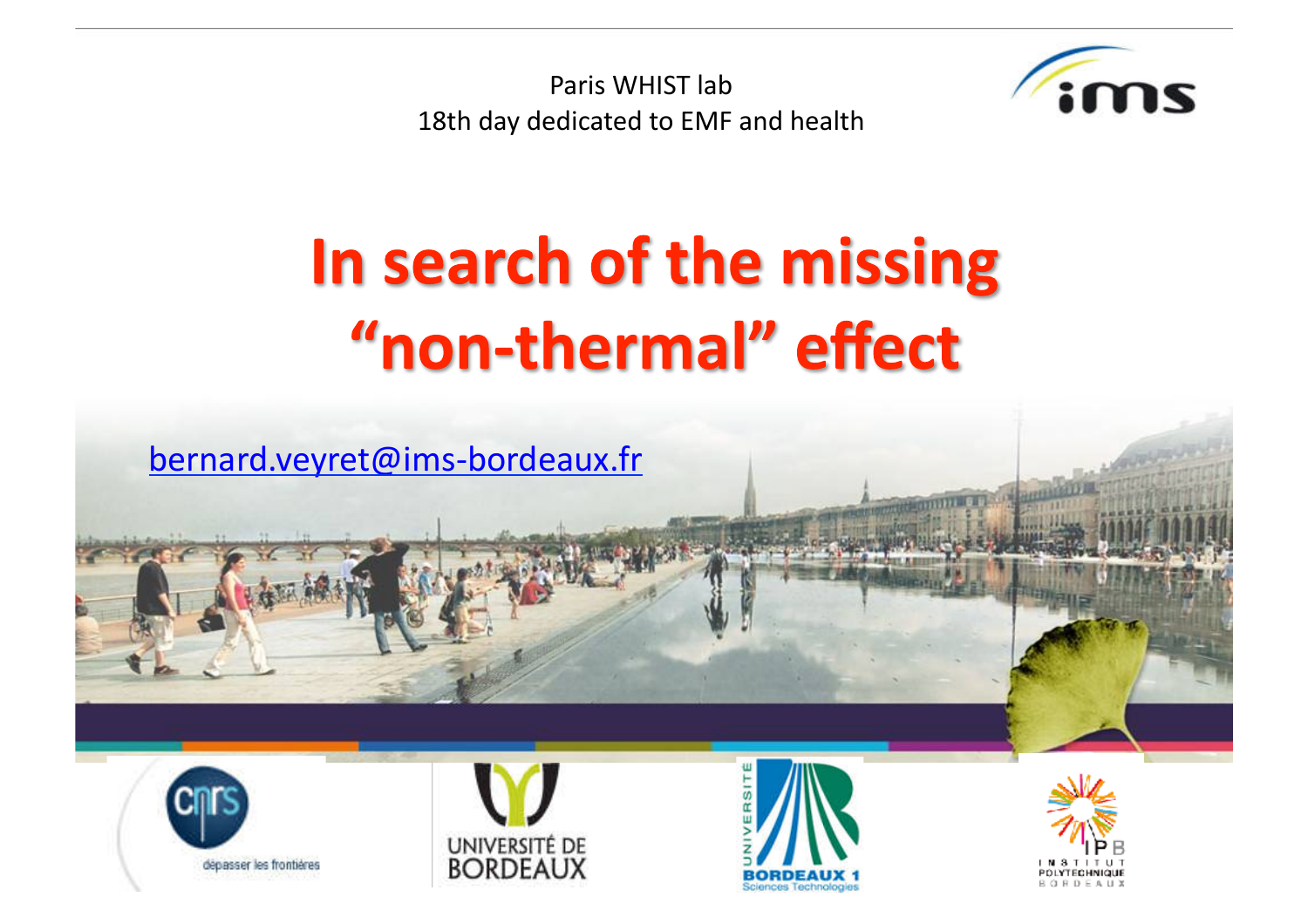Paris WHIST lab 18th day dedicated to EMF and health



## In search of the missing "non-thermal" effect









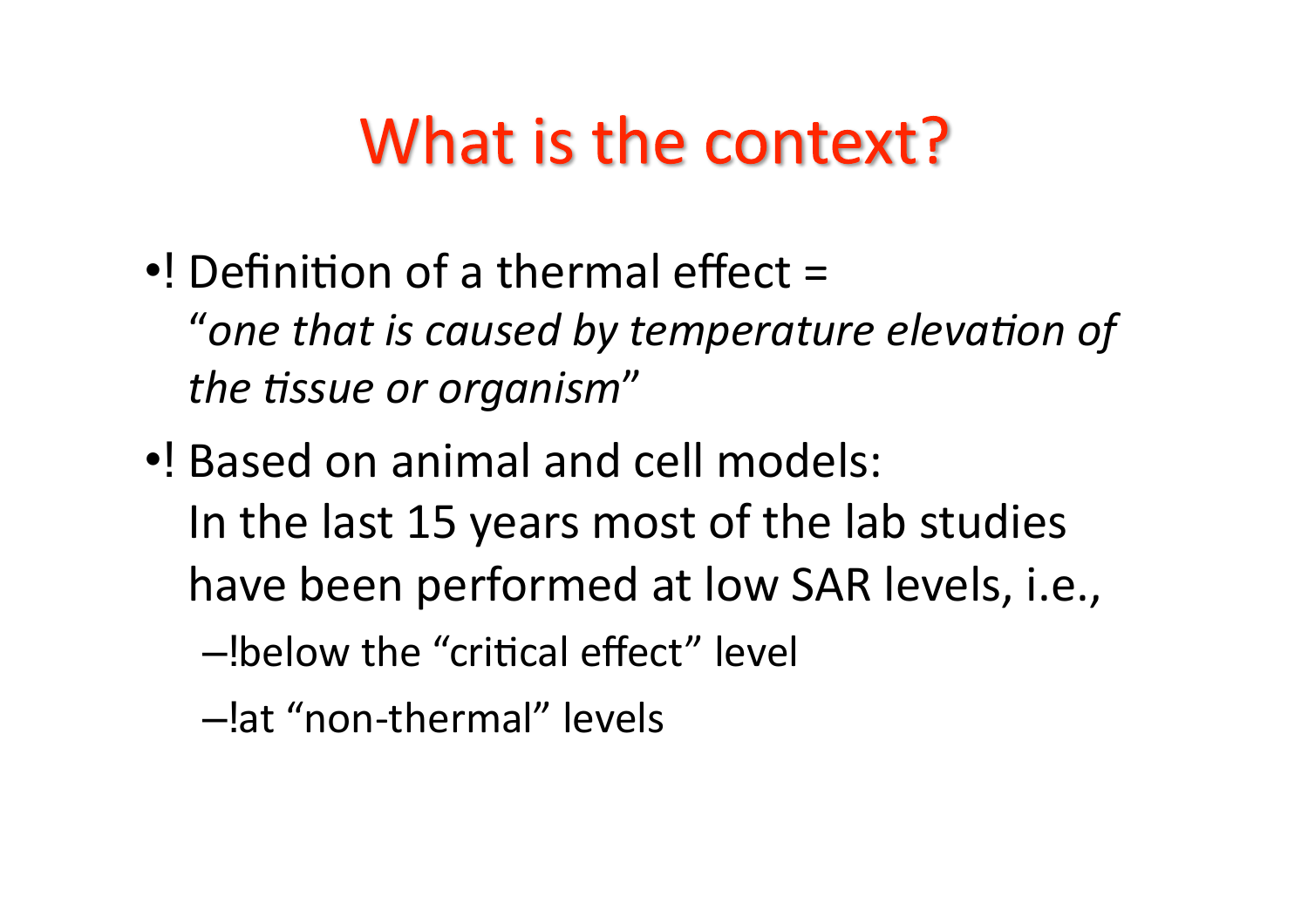## What is the context?

- $\bullet$ ! Definition of a thermal effect = "one that is caused by temperature elevation of the tissue or organism"
- ..! Based on animal and cell models: In the last 15 years most of the lab studies have been performed at low SAR levels, i.e., -!below the "critical effect" level
	- -lat "non-thermal" levels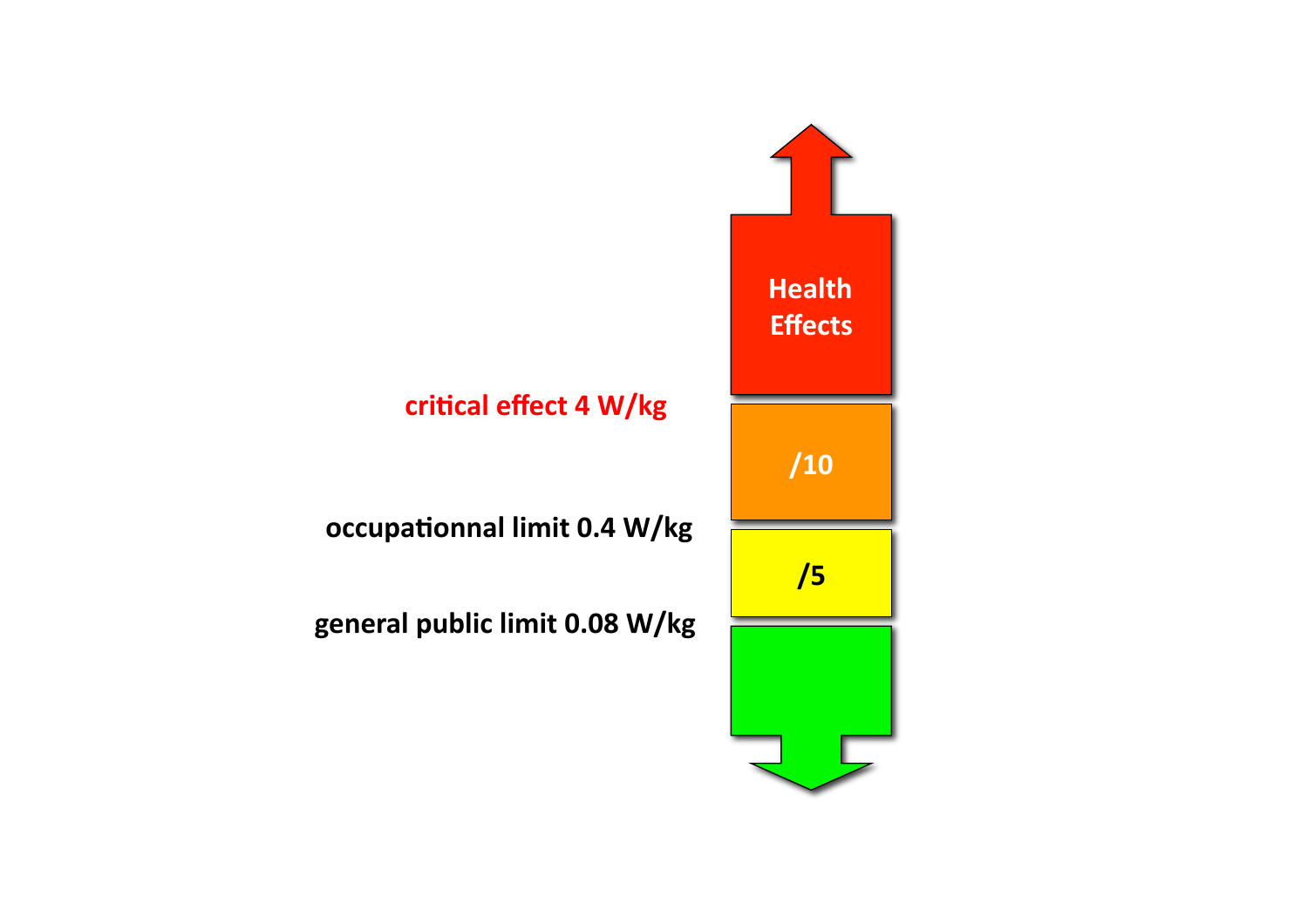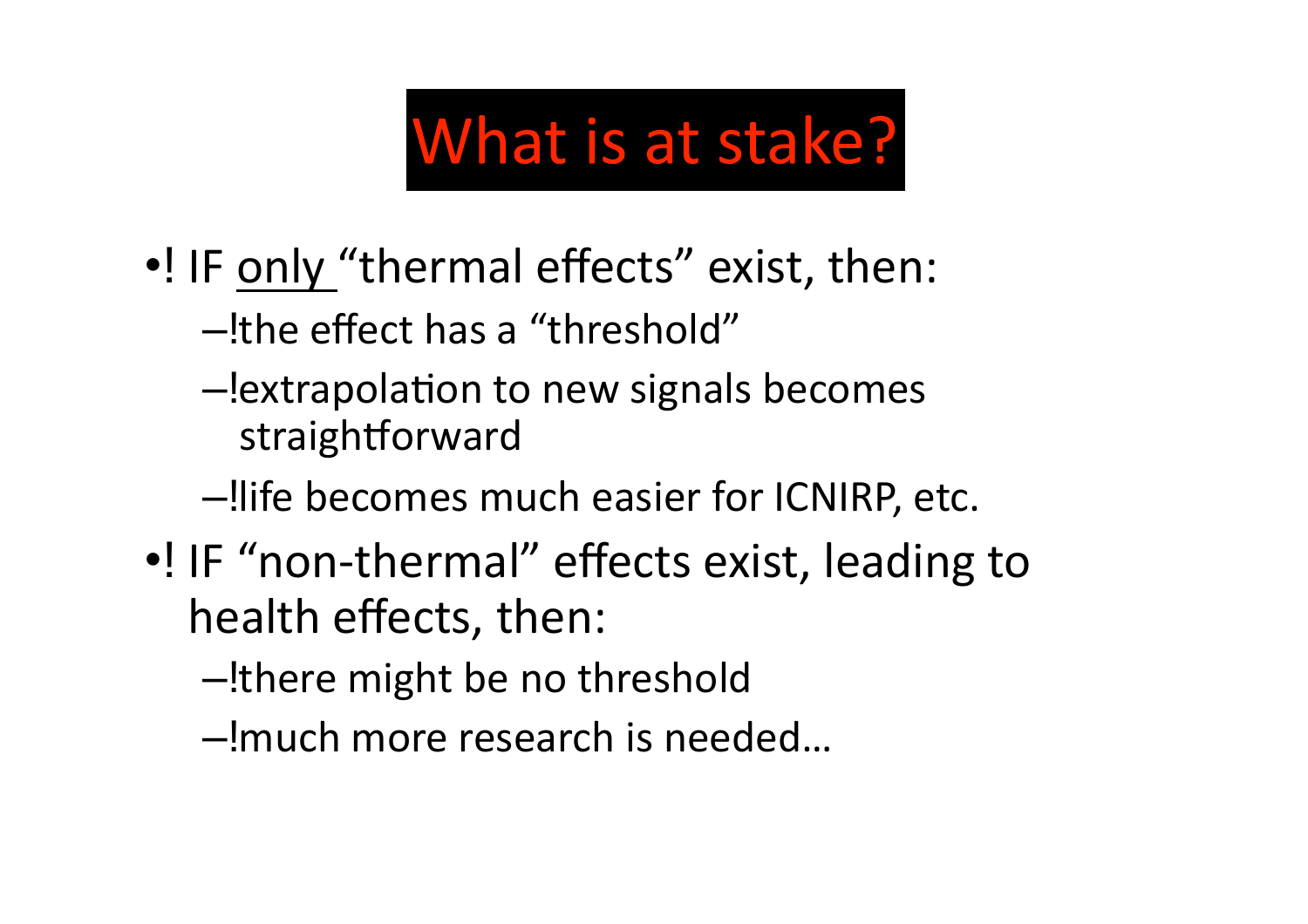## What is at stake?

- •! IF only "thermal effects" exist, then:
	- -the effect has a "threshold"
	- -lextrapolation to new signals becomes straightforward
	- -llife becomes much easier for ICNIRP, etc.
- •! IF "non-thermal" effects exist, leading to health effects, then:
	- -there might be no threshold
	- -!much more research is needed...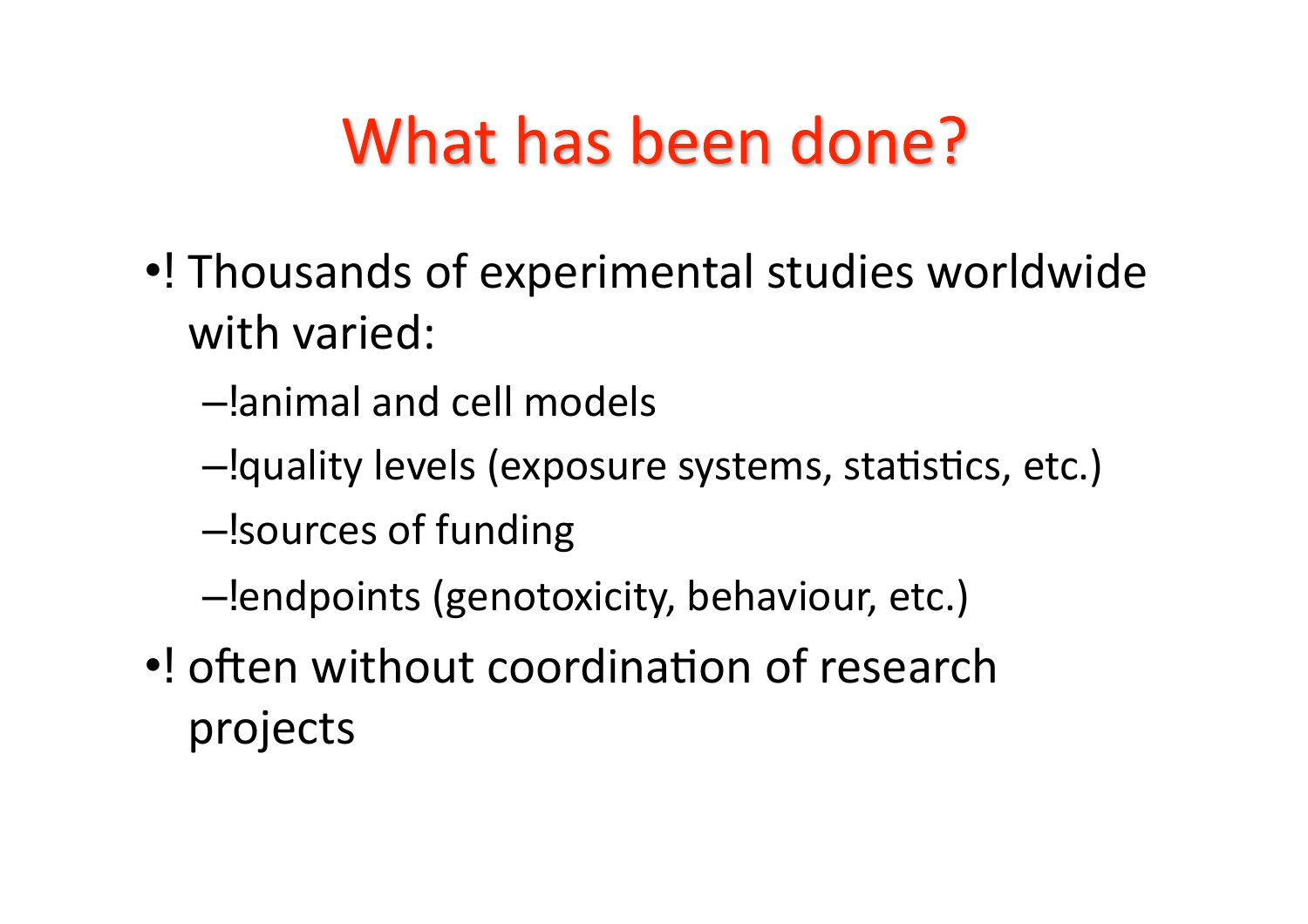## What has been done?

- •! Thousands of experimental studies worldwide with varied:
	- $-$ lanimal and cell models
	- $-$ !quality levels (exposure systems, statistics, etc.)
	- sources of funding
	- $-$ !endpoints (genotoxicity, behaviour, etc.)
- •! often without coordination of research projects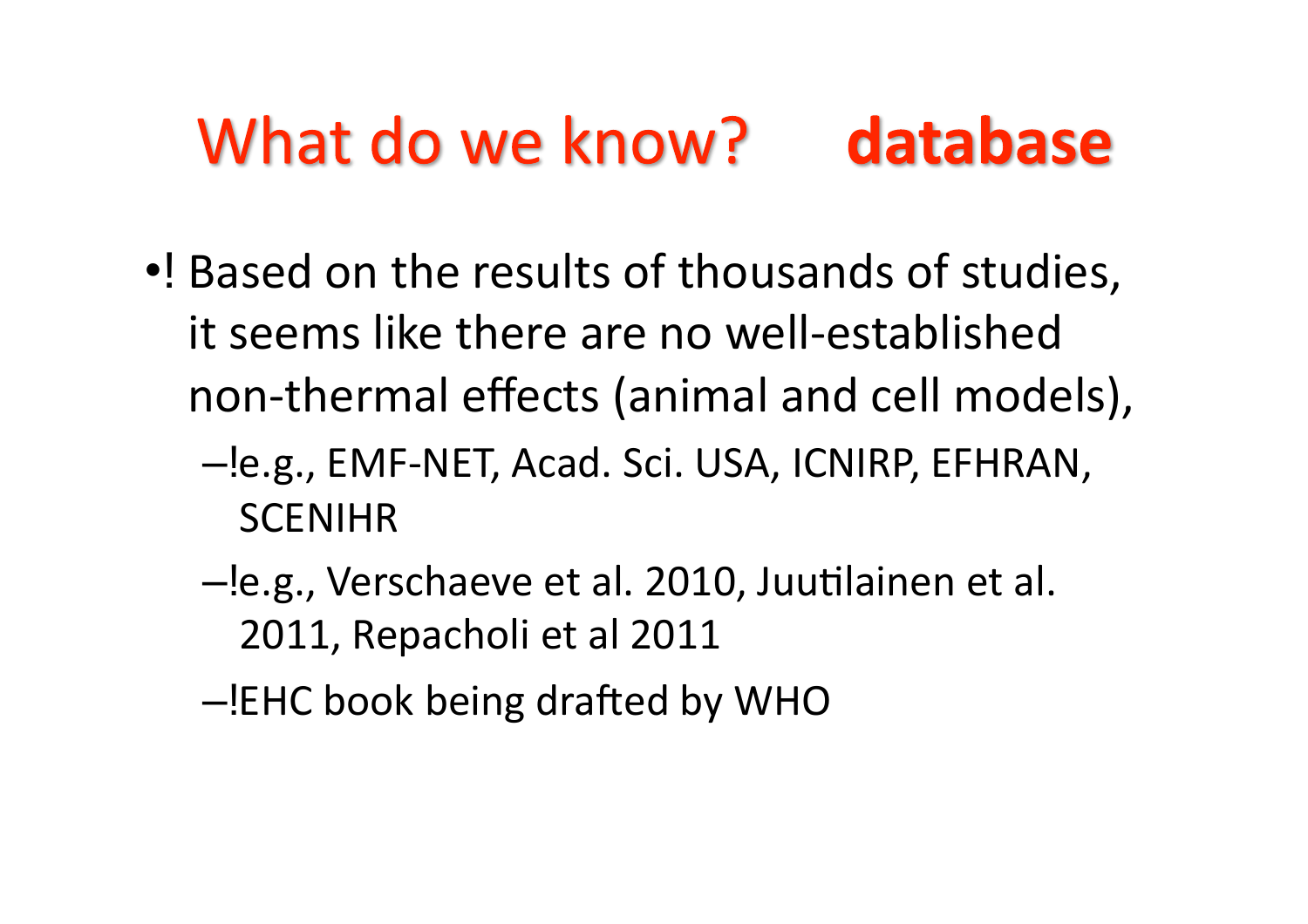#### What do we know? database

- . Based on the results of thousands of studies, it seems like there are no well-established non-thermal effects (animal and cell models),
	- -le.g., EMF-NET, Acad. Sci. USA, ICNIRP, EFHRAN, **SCENIHR**
	- -le.g., Verschaeve et al. 2010, Juutilainen et al. 2011, Repacholi et al 2011
	- -!EHC book being drafted by WHO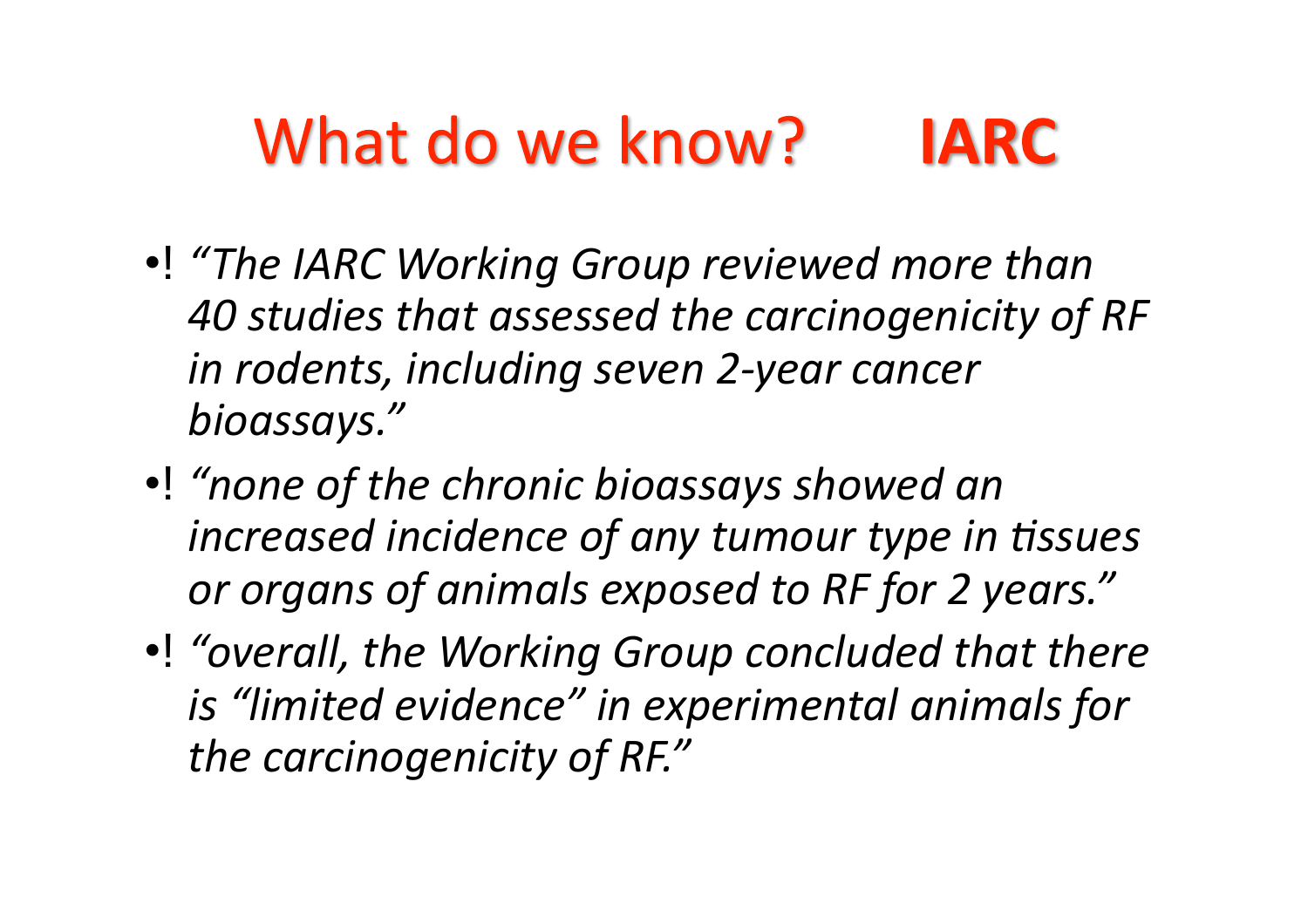#### What do we know? **IARC**

- •! "The IARC Working Group reviewed more than 40 studies that assessed the carcinogenicity of RF *in\$rodents,\$including\$seven\$2Fyear\$cancer\$ bioassays."\$\$*
- •! "none of the chronic bioassays showed an increased incidence of any tumour type in tissues or organs of animals exposed to RF for 2 years."
- •! "overall, the Working Group concluded that there is "limited evidence" in experimental animals for the carcinogenicity of RF."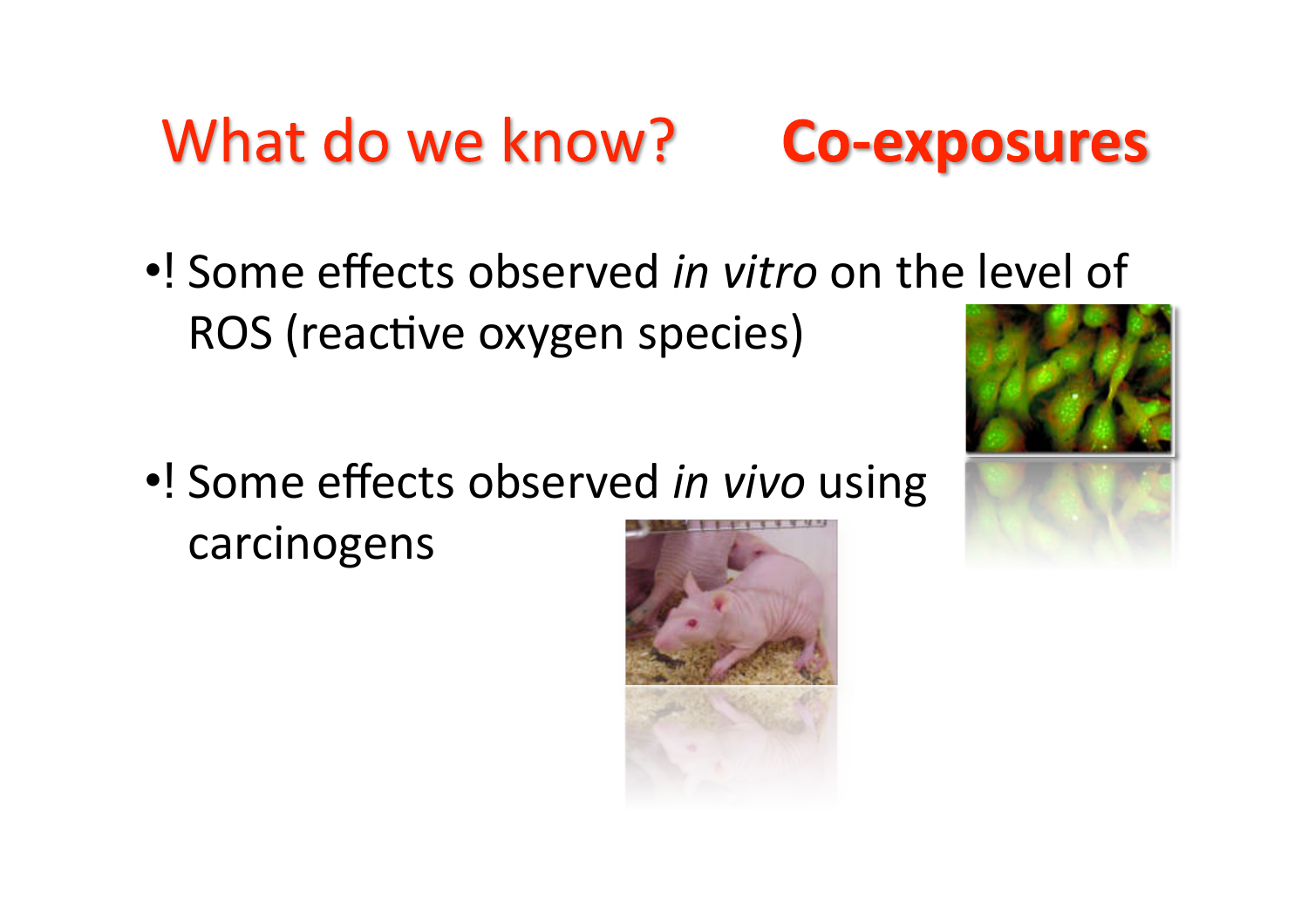#### What do we know? **Co-exposures**



•! Some effects observed *in vivo* using carcinogens



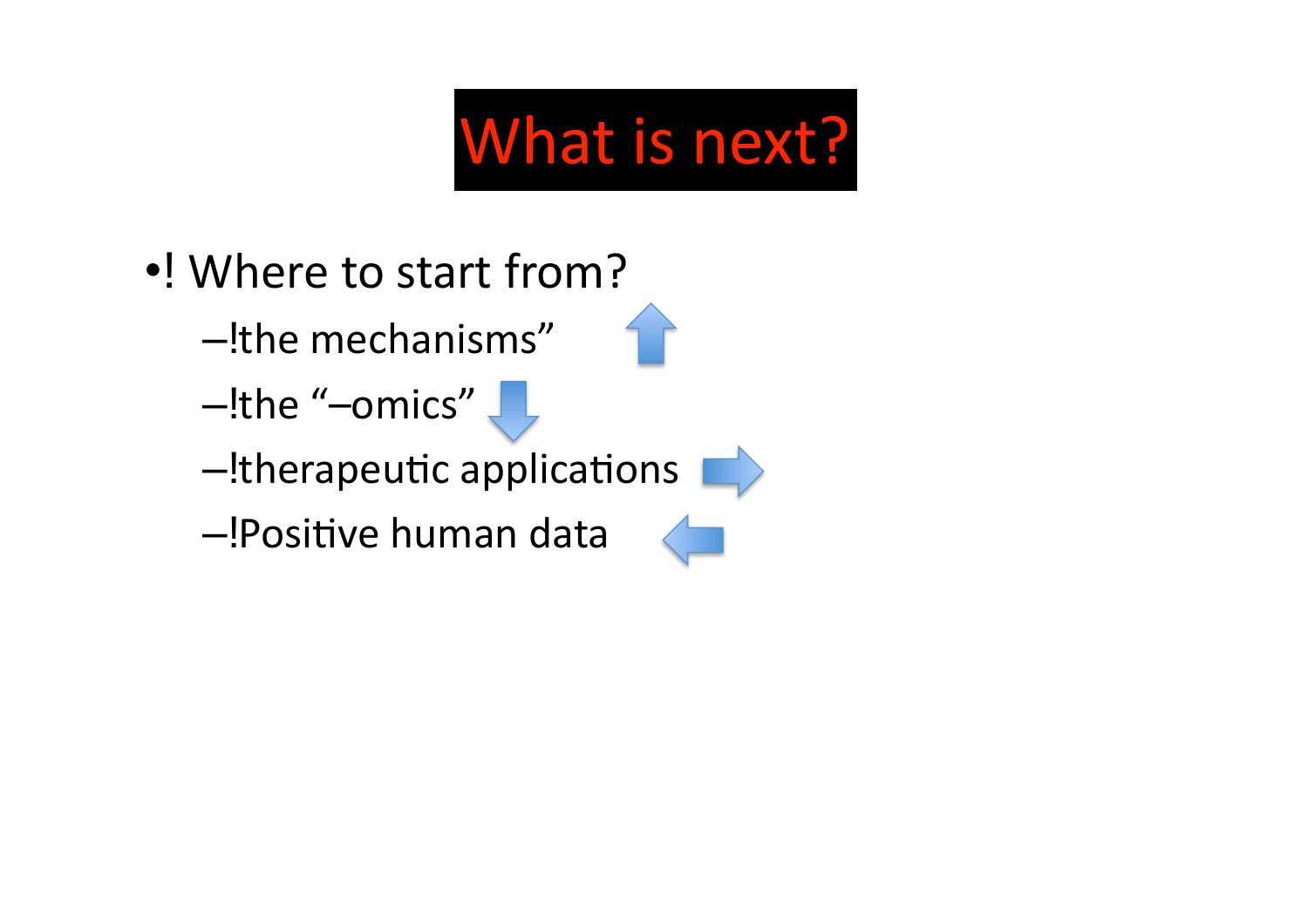# What is next?

- .! Where to start from?
	- -!the mechanisms"
	- -the "-omics"
	- $-\frac{1}{2}$  therapeutic applications
	- -!Positive human data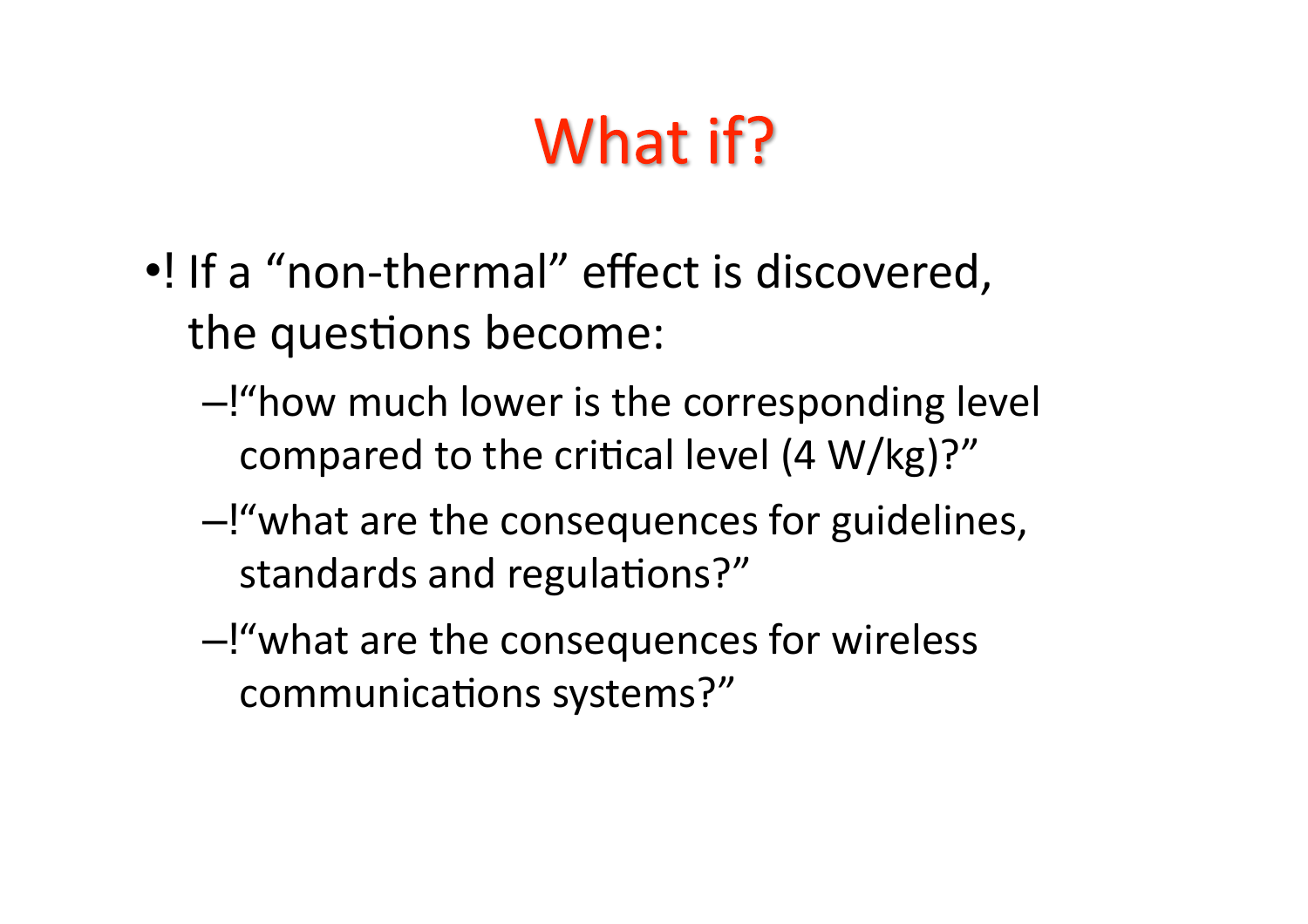## What if?

- ... If a "non-thermal" effect is discovered. the questions become:
	- -!"how much lower is the corresponding level compared to the critical level (4 W/kg)?"
	- -!"what are the consequences for guidelines, standards and regulations?"
	- -!"what are the consequences for wireless communications systems?"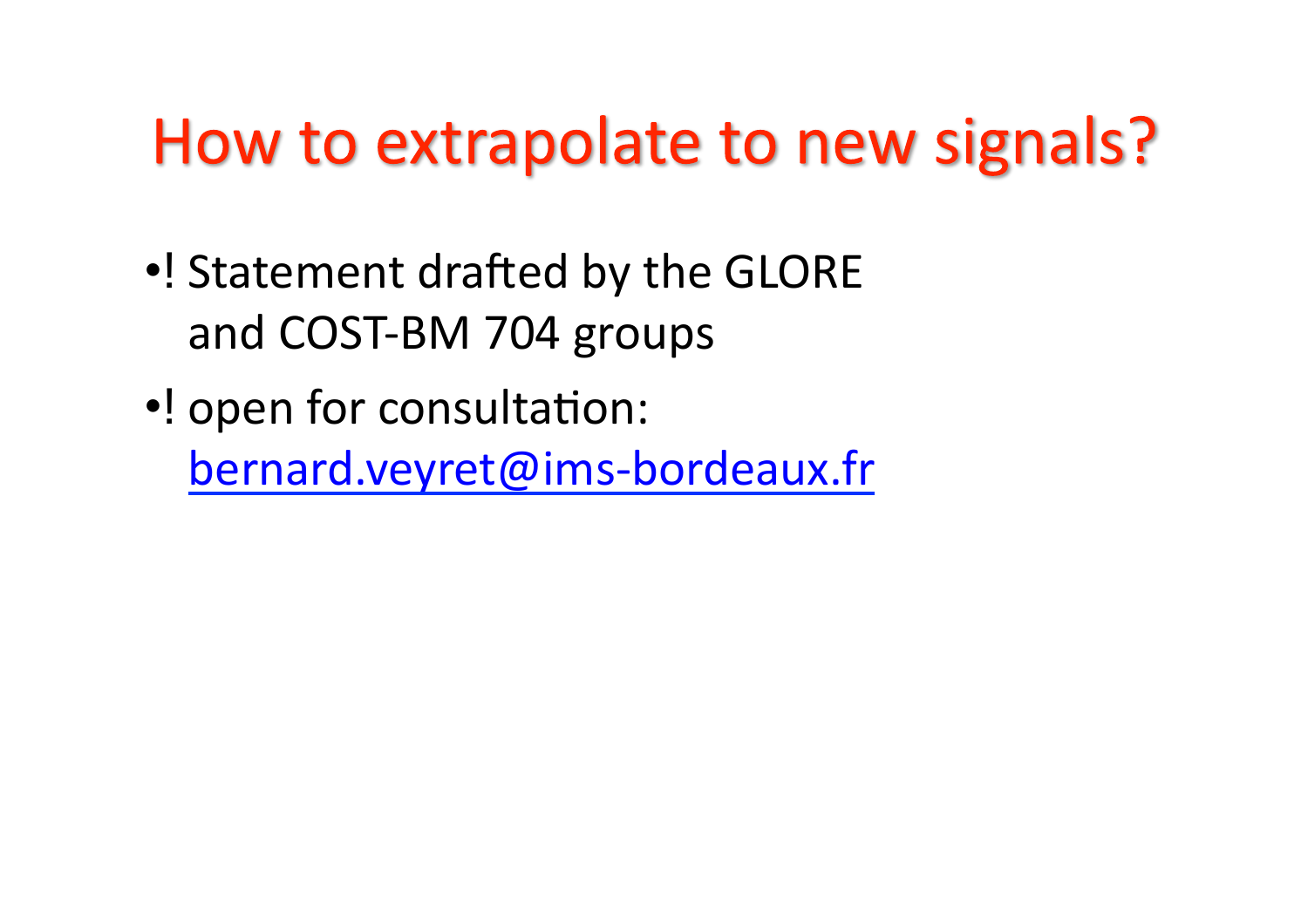## How to extrapolate to new signals?

- . Statement drafted by the GLORE and COST-BM 704 groups
- •! open for consultation: bernard.veyret@ims-bordeaux.fr